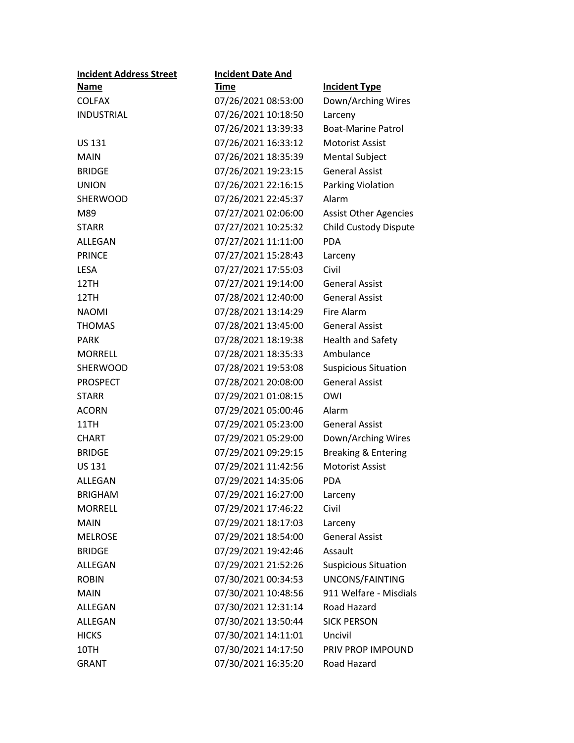| <b>Incident Address Street</b> | <b>Incident Date And</b> |                                |
|--------------------------------|--------------------------|--------------------------------|
| <b>Name</b>                    | Time                     | <b>Incident Type</b>           |
| <b>COLFAX</b>                  | 07/26/2021 08:53:00      | Down/Arching Wires             |
| INDUSTRIAL                     | 07/26/2021 10:18:50      | Larceny                        |
|                                | 07/26/2021 13:39:33      | <b>Boat-Marine Patrol</b>      |
| <b>US 131</b>                  | 07/26/2021 16:33:12      | <b>Motorist Assist</b>         |
| <b>MAIN</b>                    | 07/26/2021 18:35:39      | <b>Mental Subject</b>          |
| <b>BRIDGE</b>                  | 07/26/2021 19:23:15      | <b>General Assist</b>          |
| <b>UNION</b>                   | 07/26/2021 22:16:15      | Parking Violation              |
| <b>SHERWOOD</b>                | 07/26/2021 22:45:37      | Alarm                          |
| M89                            | 07/27/2021 02:06:00      | <b>Assist Other Agencies</b>   |
| <b>STARR</b>                   | 07/27/2021 10:25:32      | Child Custody Dispute          |
| ALLEGAN                        | 07/27/2021 11:11:00      | <b>PDA</b>                     |
| <b>PRINCE</b>                  | 07/27/2021 15:28:43      | Larceny                        |
| <b>LESA</b>                    | 07/27/2021 17:55:03      | Civil                          |
| 12TH                           | 07/27/2021 19:14:00      | <b>General Assist</b>          |
| 12TH                           | 07/28/2021 12:40:00      | <b>General Assist</b>          |
| <b>NAOMI</b>                   | 07/28/2021 13:14:29      | Fire Alarm                     |
| <b>THOMAS</b>                  | 07/28/2021 13:45:00      | <b>General Assist</b>          |
| PARK                           | 07/28/2021 18:19:38      | <b>Health and Safety</b>       |
| <b>MORRELL</b>                 | 07/28/2021 18:35:33      | Ambulance                      |
| <b>SHERWOOD</b>                | 07/28/2021 19:53:08      | <b>Suspicious Situation</b>    |
| <b>PROSPECT</b>                | 07/28/2021 20:08:00      | <b>General Assist</b>          |
| <b>STARR</b>                   | 07/29/2021 01:08:15      | OWI                            |
| <b>ACORN</b>                   | 07/29/2021 05:00:46      | Alarm                          |
| 11TH                           | 07/29/2021 05:23:00      | <b>General Assist</b>          |
| <b>CHART</b>                   | 07/29/2021 05:29:00      | Down/Arching Wires             |
| <b>BRIDGE</b>                  | 07/29/2021 09:29:15      | <b>Breaking &amp; Entering</b> |
| <b>US 131</b>                  | 07/29/2021 11:42:56      | <b>Motorist Assist</b>         |
| ALLEGAN                        | 07/29/2021 14:35:06      | <b>PDA</b>                     |
| <b>BRIGHAM</b>                 | 07/29/2021 16:27:00      | Larceny                        |
| <b>MORRELL</b>                 | 07/29/2021 17:46:22      | Civil                          |
| <b>MAIN</b>                    | 07/29/2021 18:17:03      | Larceny                        |
| <b>MELROSE</b>                 | 07/29/2021 18:54:00      | <b>General Assist</b>          |
| <b>BRIDGE</b>                  | 07/29/2021 19:42:46      | Assault                        |
| ALLEGAN                        | 07/29/2021 21:52:26      | <b>Suspicious Situation</b>    |
| <b>ROBIN</b>                   | 07/30/2021 00:34:53      | UNCONS/FAINTING                |
| <b>MAIN</b>                    | 07/30/2021 10:48:56      | 911 Welfare - Misdials         |
| <b>ALLEGAN</b>                 | 07/30/2021 12:31:14      | Road Hazard                    |
| ALLEGAN                        | 07/30/2021 13:50:44      | <b>SICK PERSON</b>             |
| <b>HICKS</b>                   | 07/30/2021 14:11:01      | Uncivil                        |
| 10TH                           | 07/30/2021 14:17:50      | PRIV PROP IMPOUND              |
| <b>GRANT</b>                   | 07/30/2021 16:35:20      | Road Hazard                    |